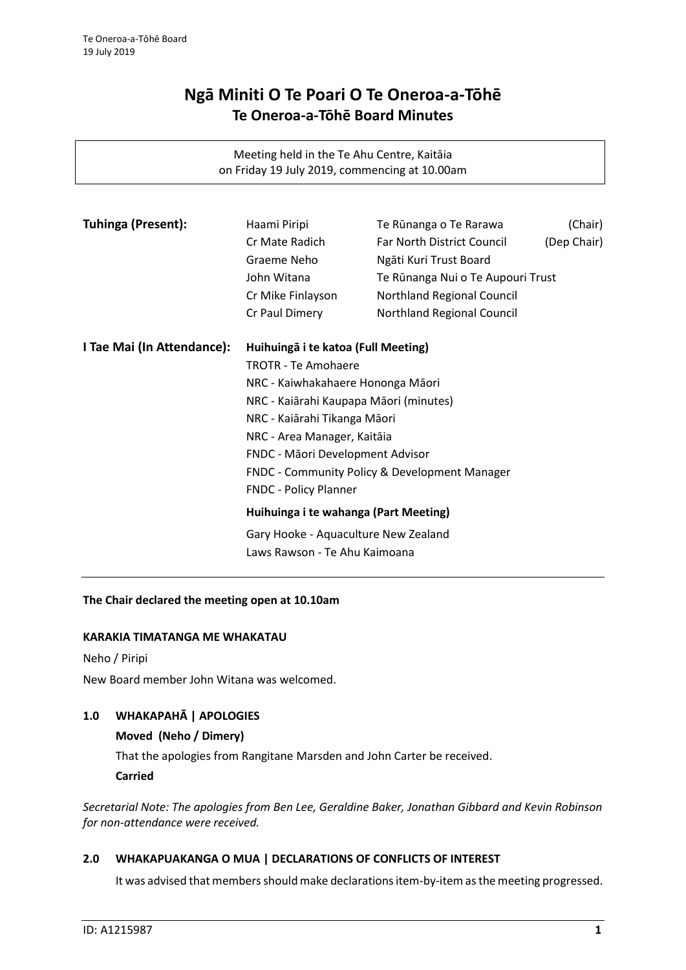# **Ngā Miniti O Te Poari O Te Oneroa-a-Tōhē Te Oneroa-a-Tōhē Board Minutes**

Meeting held in the Te Ahu Centre, Kaitāia on Friday 19 July 2019, commencing at 10.00am

| <b>Tuhinga (Present):</b>  | Haami Piripi                                                                                                                                                                                                                                                                                                                                                                              | Te Rūnanga o Te Rarawa            | (Chair)     |
|----------------------------|-------------------------------------------------------------------------------------------------------------------------------------------------------------------------------------------------------------------------------------------------------------------------------------------------------------------------------------------------------------------------------------------|-----------------------------------|-------------|
|                            | Cr Mate Radich                                                                                                                                                                                                                                                                                                                                                                            | <b>Far North District Council</b> | (Dep Chair) |
|                            | Graeme Neho                                                                                                                                                                                                                                                                                                                                                                               | Ngāti Kuri Trust Board            |             |
|                            | John Witana                                                                                                                                                                                                                                                                                                                                                                               | Te Rūnanga Nui o Te Aupouri Trust |             |
|                            | Cr Mike Finlayson                                                                                                                                                                                                                                                                                                                                                                         | Northland Regional Council        |             |
|                            | Cr Paul Dimery                                                                                                                                                                                                                                                                                                                                                                            | Northland Regional Council        |             |
| I Tae Mai (In Attendance): | Huihuingā i te katoa (Full Meeting)                                                                                                                                                                                                                                                                                                                                                       |                                   |             |
|                            | <b>TROTR - Te Amohaere</b><br>NRC - Kaiwhakahaere Hononga Māori<br>NRC - Kaiārahi Kaupapa Māori (minutes)<br>NRC - Kaiārahi Tikanga Māori<br>NRC - Area Manager, Kaitāia<br>FNDC - Māori Development Advisor<br><b>FNDC - Community Policy &amp; Development Manager</b><br><b>FNDC - Policy Planner</b><br>Huihuinga i te wahanga (Part Meeting)<br>Gary Hooke - Aquaculture New Zealand |                                   |             |
|                            |                                                                                                                                                                                                                                                                                                                                                                                           |                                   |             |
|                            |                                                                                                                                                                                                                                                                                                                                                                                           |                                   |             |
|                            |                                                                                                                                                                                                                                                                                                                                                                                           |                                   |             |
|                            |                                                                                                                                                                                                                                                                                                                                                                                           |                                   |             |
|                            |                                                                                                                                                                                                                                                                                                                                                                                           |                                   |             |
|                            |                                                                                                                                                                                                                                                                                                                                                                                           |                                   |             |
|                            |                                                                                                                                                                                                                                                                                                                                                                                           |                                   |             |
|                            |                                                                                                                                                                                                                                                                                                                                                                                           |                                   |             |
|                            |                                                                                                                                                                                                                                                                                                                                                                                           |                                   |             |
|                            | Laws Rawson - Te Ahu Kaimoana                                                                                                                                                                                                                                                                                                                                                             |                                   |             |
|                            |                                                                                                                                                                                                                                                                                                                                                                                           |                                   |             |

## **The Chair declared the meeting open at 10.10am**

### **KARAKIA TIMATANGA ME WHAKATAU**

Neho / Piripi

New Board member John Witana was welcomed.

# **1.0 WHAKAPAHĀ | APOLOGIES**

# **Moved (Neho / Dimery)**

That the apologies from Rangitane Marsden and John Carter be received.

**Carried**

*Secretarial Note: The apologies from Ben Lee, Geraldine Baker, Jonathan Gibbard and Kevin Robinson for non-attendance were received.*

## **2.0 WHAKAPUAKANGA O MUA | DECLARATIONS OF CONFLICTS OF INTEREST**

It was advised that members should make declarations item-by-item as the meeting progressed.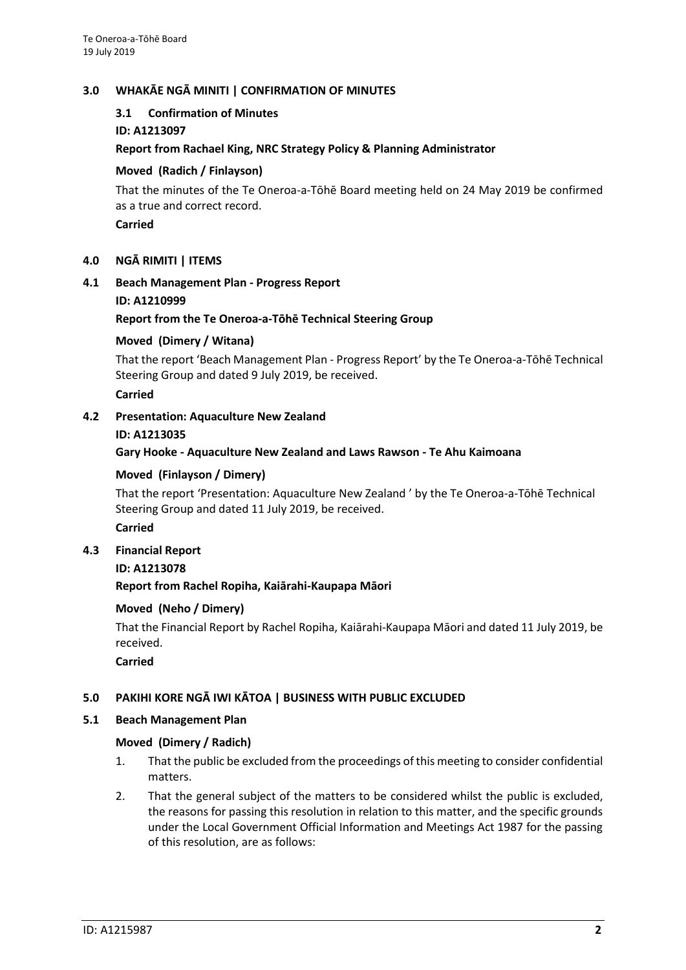## **3.0 WHAKĀE NGĀ MINITI | CONFIRMATION OF MINUTES**

## **3.1 Confirmation of Minutes**

**ID: A1213097**

## **Report from Rachael King, NRC Strategy Policy & Planning Administrator**

## **Moved (Radich / Finlayson)**

That the minutes of the Te Oneroa-a-Tōhē Board meeting held on 24 May 2019 be confirmed as a true and correct record.

**Carried**

## **4.0 NGĀ RIMITI | ITEMS**

## **4.1 Beach Management Plan - Progress Report**

**ID: A1210999**

## **Report from the Te Oneroa-a-Tōhē Technical Steering Group**

## **Moved (Dimery / Witana)**

That the report 'Beach Management Plan - Progress Report' by the Te Oneroa-a-Tōhē Technical Steering Group and dated 9 July 2019, be received.

**Carried**

## **4.2 Presentation: Aquaculture New Zealand**

### **ID: A1213035**

**Gary Hooke - Aquaculture New Zealand and Laws Rawson - Te Ahu Kaimoana**

## **Moved (Finlayson / Dimery)**

That the report 'Presentation: Aquaculture New Zealand ' by the Te Oneroa-a-Tōhē Technical Steering Group and dated 11 July 2019, be received.

### **Carried**

**4.3 Financial Report**

### **ID: A1213078**

**Report from Rachel Ropiha, Kaiārahi-Kaupapa Māori**

### **Moved (Neho / Dimery)**

That the Financial Report by Rachel Ropiha, Kaiārahi-Kaupapa Māori and dated 11 July 2019, be received.

### **Carried**

# **5.0 PAKIHI KORE NGĀ IWI KĀTOA | BUSINESS WITH PUBLIC EXCLUDED**

### **5.1 Beach Management Plan**

### **Moved (Dimery / Radich)**

- 1. That the public be excluded from the proceedings of this meeting to consider confidential matters.
- 2. That the general subject of the matters to be considered whilst the public is excluded, the reasons for passing this resolution in relation to this matter, and the specific grounds under the Local Government Official Information and Meetings Act 1987 for the passing of this resolution, are as follows: